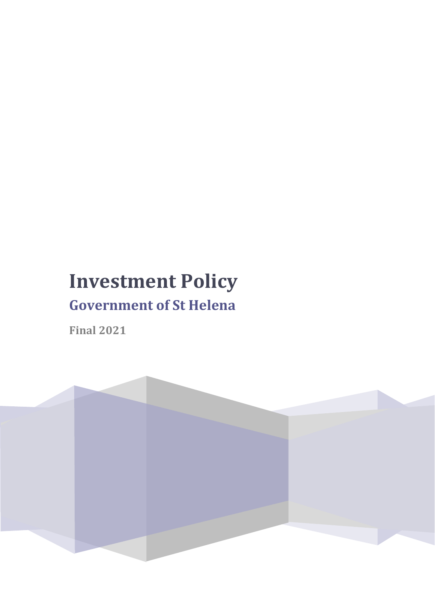# **Investment Policy**

# **Government of St Helena**

**Final 2021**

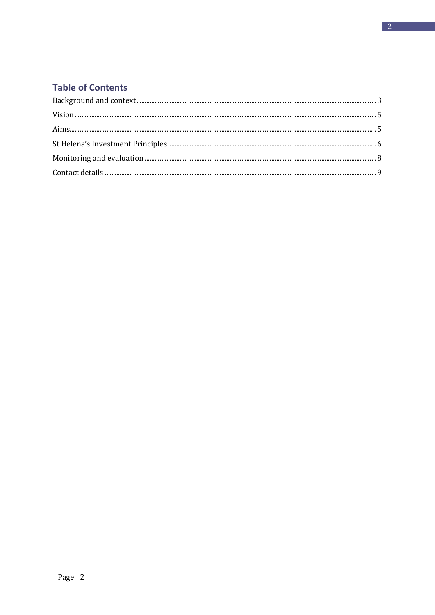# **Table of Contents**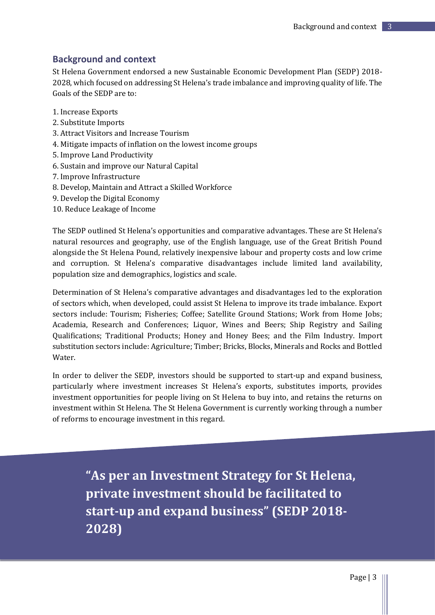## <span id="page-2-0"></span>**Background and context**

St Helena Government endorsed a new Sustainable Economic Development Plan (SEDP) 2018- 2028, which focused on addressing St Helena's trade imbalance and improving quality of life. The Goals of the SEDP are to:

- 1. Increase Exports
- 2. Substitute Imports
- 3. Attract Visitors and Increase Tourism
- 4. Mitigate impacts of inflation on the lowest income groups
- 5. Improve Land Productivity
- 6. Sustain and improve our Natural Capital
- 7. Improve Infrastructure
- 8. Develop, Maintain and Attract a Skilled Workforce
- 9. Develop the Digital Economy
- 10. Reduce Leakage of Income

The SEDP outlined St Helena's opportunities and comparative advantages. These are St Helena's natural resources and geography, use of the English language, use of the Great British Pound alongside the St Helena Pound, relatively inexpensive labour and property costs and low crime and corruption. St Helena's comparative disadvantages include limited land availability, population size and demographics, logistics and scale.

Determination of St Helena's comparative advantages and disadvantages led to the exploration of sectors which, when developed, could assist St Helena to improve its trade imbalance. Export sectors include: Tourism; Fisheries; Coffee; Satellite Ground Stations; Work from Home Jobs; Academia, Research and Conferences; Liquor, Wines and Beers; Ship Registry and Sailing Qualifications; Traditional Products; Honey and Honey Bees; and the Film Industry. Import substitution sectors include: Agriculture; Timber; Bricks, Blocks, Minerals and Rocks and Bottled **Water** 

In order to deliver the SEDP, investors should be supported to start-up and expand business, particularly where investment increases St Helena's exports, substitutes imports, provides investment opportunities for people living on St Helena to buy into, and retains the returns on investment within St Helena. The St Helena Government is currently working through a number of reforms to encourage investment in this regard.

**"As per an Investment Strategy for St Helena, private investment should be facilitated to start-up and expand business" (SEDP 2018- 2028)**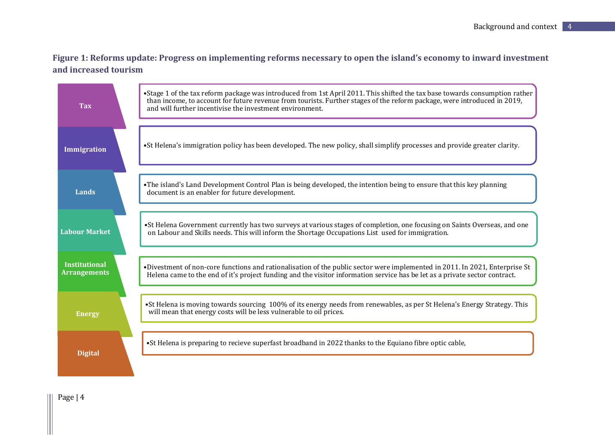# **Figure 1: Reforms update: Progress on implementing reforms necessary to open the island's economy to inward investment and increased tourism**

| <b>Tax</b>                                  | •Stage 1 of the tax reform package was introduced from 1st April 2011. This shifted the tax base towards consumption rather<br>than income, to account for future revenue from tourists. Further stages of the reform package, were introduced in 2019,<br>and will further incentivise the investment environment. |
|---------------------------------------------|---------------------------------------------------------------------------------------------------------------------------------------------------------------------------------------------------------------------------------------------------------------------------------------------------------------------|
| <b>Immigration</b>                          | •St Helena's immigration policy has been developed. The new policy, shall simplify processes and provide greater clarity.                                                                                                                                                                                           |
| Lands                                       | •The island's Land Development Control Plan is being developed, the intention being to ensure that this key planning<br>document is an enabler for future development.                                                                                                                                              |
| <b>Labour Market</b>                        | •St Helena Government currently has two surveys at various stages of completion, one focusing on Saints Overseas, and one<br>on Labour and Skills needs. This will inform the Shortage Occupations List used for immigration.                                                                                       |
| <b>Institutional</b><br><b>Arrangements</b> | •Divestment of non-core functions and rationalisation of the public sector were implemented in 2011. In 2021, Enterprise St<br>Helena came to the end of it's project funding and the visitor information service has be let as a private sector contract.                                                          |
| <b>Energy</b>                               | •St Helena is moving towards sourcing 100% of its energy needs from renewables, as per St Helena's Energy Strategy. This<br>will mean that energy costs will be less vulnerable to oil prices.                                                                                                                      |
| <b>Digital</b>                              | •St Helena is preparing to recieve superfast broadband in 2022 thanks to the Equiano fibre optic cable,                                                                                                                                                                                                             |

Page | 4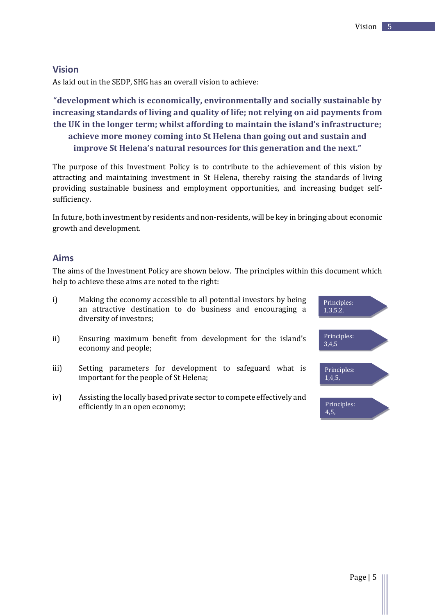#### <span id="page-4-0"></span>**Vision**

As laid out in the SEDP, SHG has an overall vision to achieve:

**"development which is economically, environmentally and socially sustainable by increasing standards of living and quality of life; not relying on aid payments from the UK in the longer term; whilst affording to maintain the island's infrastructure; achieve more money coming into St Helena than going out and sustain and improve St Helena's natural resources for this generation and the next."**

The purpose of this Investment Policy is to contribute to the achievement of this vision by attracting and maintaining investment in St Helena, thereby raising the standards of living providing sustainable business and employment opportunities, and increasing budget selfsufficiency.

In future, both investment by residents and non-residents, will be key in bringing about economic growth and development.

#### <span id="page-4-1"></span>**Aims**

The aims of the Investment Policy are shown below. The principles within this document which help to achieve these aims are noted to the right:

- i) Making the economy accessible to all potential investors by being an attractive destination to do business and encouraging a diversity of investors;
- ii) Ensuring maximum benefit from development for the island's economy and people;
- iii) Setting parameters for development to safeguard what is important for the people of St Helena;
- iv) Assisting the locally based private sector to compete effectively and efficiently in an open economy;

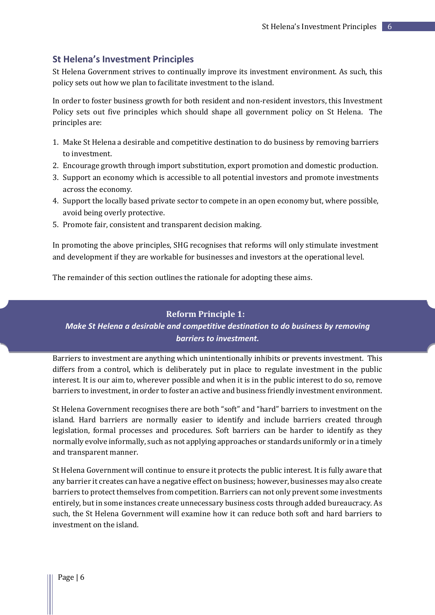#### <span id="page-5-0"></span>**St Helena's Investment Principles**

St Helena Government strives to continually improve its investment environment. As such, this policy sets out how we plan to facilitate investment to the island.

In order to foster business growth for both resident and non-resident investors, this Investment Policy sets out five principles which should shape all government policy on St Helena. The principles are:

- 1. Make St Helena a desirable and competitive destination to do business by removing barriers to investment.
- 2. Encourage growth through import substitution, export promotion and domestic production.
- 3. Support an economy which is accessible to all potential investors and promote investments across the economy.
- 4. Support the locally based private sector to compete in an open economy but, where possible, avoid being overly protective.
- 5. Promote fair, consistent and transparent decision making.

In promoting the above principles, SHG recognises that reforms will only stimulate investment and development if they are workable for businesses and investors at the operational level.

The remainder of this section outlines the rationale for adopting these aims.

#### **Reform Principle 1:**

*Make St Helena a desirable and competitive destination to do business by removing barriers to investment.* 

Barriers to investment are anything which unintentionally inhibits or prevents investment. This differs from a control, which is deliberately put in place to regulate investment in the public interest. It is our aim to, wherever possible and when it is in the public interest to do so, remove barriers to investment, in order to foster an active and business friendly investment environment.

St Helena Government recognises there are both "soft" and "hard" barriers to investment on the island. Hard barriers are normally easier to identify and include barriers created through legislation, formal processes and procedures. Soft barriers can be harder to identify as they normally evolve informally, such as not applying approaches or standards uniformly or in a timely and transparent manner.

St Helena Government will continue to ensure it protects the public interest. It is fully aware that any barrier it creates can have a negative effect on business; however, businesses may also create barriers to protect themselves from competition. Barriers can not only prevent some investments entirely, but in some instances create unnecessary business costs through added bureaucracy. As such, the St Helena Government will examine how it can reduce both soft and hard barriers to investment on the island.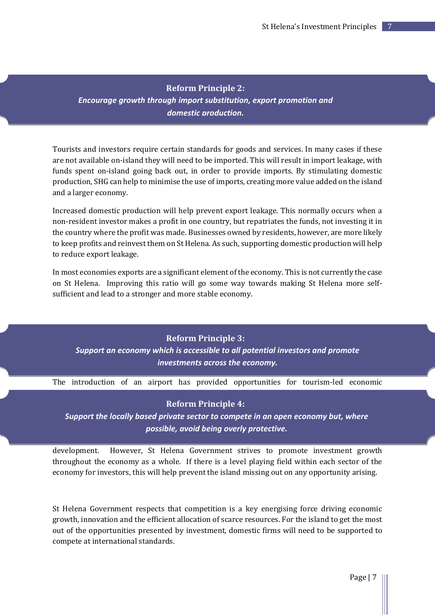**Reform Principle 2:** *Encourage growth through import substitution, export promotion and domestic production.*

Tourists and investors require certain standards for goods and services. In many cases if these are not available on-island they will need to be imported. This will result in import leakage, with funds spent on-island going back out, in order to provide imports. By stimulating domestic production, SHG can help to minimise the use of imports, creating more value added on the island and a larger economy.

Increased domestic production will help prevent export leakage. This normally occurs when a non-resident investor makes a profit in one country, but repatriates the funds, not investing it in the country where the profit was made. Businesses owned by residents, however, are more likely to keep profits and reinvest them on St Helena. As such, supporting domestic production will help to reduce export leakage.

In most economies exports are a significant element of the economy. This is not currently the case on St Helena. Improving this ratio will go some way towards making St Helena more selfsufficient and lead to a stronger and more stable economy.

**Reform Principle 3:** *Support an economy which is accessible to all potential investors and promote investments across the economy.* 

The introduction of an airport has provided opportunities for tourism-led economic

#### **Reform Principle 4:**

*Support the locally based private sector to compete in an open economy but, where possible, avoid being overly protective.* 

development. However, St Helena Government strives to promote investment growth throughout the economy as a whole. If there is a level playing field within each sector of the economy for investors, this will help prevent the island missing out on any opportunity arising.

St Helena Government respects that competition is a key energising force driving economic growth, innovation and the efficient allocation of scarce resources. For the island to get the most out of the opportunities presented by investment, domestic firms will need to be supported to compete at international standards.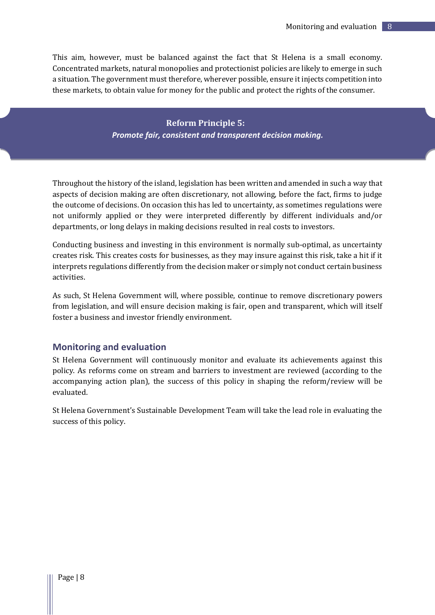This aim, however, must be balanced against the fact that St Helena is a small economy. Concentrated markets, natural monopolies and protectionist policies are likely to emerge in such a situation. The government must therefore, wherever possible, ensure it injects competition into these markets, to obtain value for money for the public and protect the rights of the consumer.

> **Reform Principle 5:** *Promote fair, consistent and transparent decision making.*

Throughout the history of the island, legislation has been written and amended in such a way that aspects of decision making are often discretionary, not allowing, before the fact, firms to judge the outcome of decisions. On occasion this has led to uncertainty, as sometimes regulations were not uniformly applied or they were interpreted differently by different individuals and/or departments, or long delays in making decisions resulted in real costs to investors.

Conducting business and investing in this environment is normally sub-optimal, as uncertainty creates risk. This creates costs for businesses, as they may insure against this risk, take a hit if it interprets regulations differently from the decision maker or simply not conduct certain business activities.

As such, St Helena Government will, where possible, continue to remove discretionary powers from legislation, and will ensure decision making is fair, open and transparent, which will itself foster a business and investor friendly environment.

#### <span id="page-7-0"></span>**Monitoring and evaluation**

St Helena Government will continuously monitor and evaluate its achievements against this policy. As reforms come on stream and barriers to investment are reviewed (according to the accompanying action plan), the success of this policy in shaping the reform/review will be evaluated.

St Helena Government's Sustainable Development Team will take the lead role in evaluating the success of this policy.